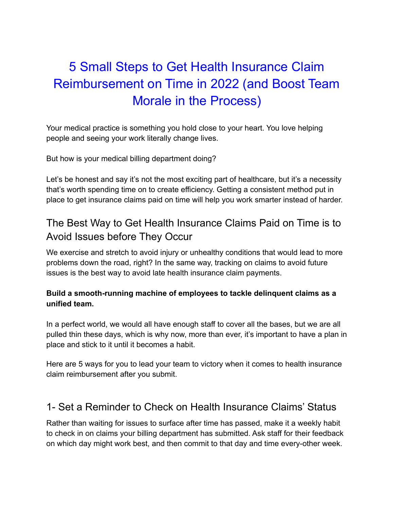# 5 Small Steps to Get Health Insurance Claim Reimbursement on Time in 2022 (and Boost Team Morale in the Process)

Your medical practice is something you hold close to your heart. You love helping people and seeing your work literally change lives.

But how is your medical billing department doing?

Let's be honest and say it's not the most exciting part of healthcare, but it's a necessity that's worth spending time on to create efficiency. Getting a consistent method put in place to get insurance claims paid on time will help you work smarter instead of harder.

### The Best Way to Get Health Insurance Claims Paid on Time is to Avoid Issues before They Occur

We exercise and stretch to avoid injury or unhealthy conditions that would lead to more problems down the road, right? In the same way, tracking on claims to avoid future issues is the best way to avoid late health insurance claim payments.

#### **Build a smooth-running machine of employees to tackle delinquent claims as a unified team.**

In a perfect world, we would all have enough staff to cover all the bases, but we are all pulled thin these days, which is why now, more than ever, it's important to have a plan in place and stick to it until it becomes a habit.

Here are 5 ways for you to lead your team to victory when it comes to health insurance claim reimbursement after you submit.

### 1- Set a Reminder to Check on Health Insurance Claims' Status

Rather than waiting for issues to surface after time has passed, make it a weekly habit to check in on claims your billing department has submitted. Ask staff for their feedback on which day might work best, and then commit to that day and time every-other week.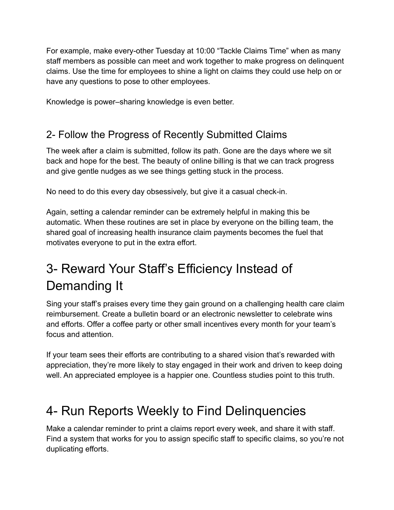For example, make every-other Tuesday at 10:00 "Tackle Claims Time" when as many staff members as possible can meet and work together to make progress on delinquent claims. Use the time for employees to shine a light on claims they could use help on or have any questions to pose to other employees.

Knowledge is power–sharing knowledge is even better.

### 2- Follow the Progress of Recently Submitted Claims

The week after a claim is submitted, follow its path. Gone are the days where we sit back and hope for the best. The beauty of online billing is that we can track progress and give gentle nudges as we see things getting stuck in the process.

No need to do this every day obsessively, but give it a casual check-in.

Again, setting a calendar reminder can be extremely helpful in making this be automatic. When these routines are set in place by everyone on the billing team, the shared goal of increasing health insurance claim payments becomes the fuel that motivates everyone to put in the extra effort.

# 3- Reward Your Staff's Efficiency Instead of Demanding It

Sing your staff's praises every time they gain ground on a challenging health care claim reimbursement. Create a bulletin board or an electronic newsletter to celebrate wins and efforts. Offer a coffee party or other small incentives every month for your team's focus and attention.

If your team sees their efforts are contributing to a shared vision that's rewarded with appreciation, they're more likely to stay engaged in their work and driven to keep doing well. An appreciated employee is a happier one. Countless studies point to this truth.

### 4- Run Reports Weekly to Find Delinquencies

Make a calendar reminder to print a claims report every week, and share it with staff. Find a system that works for you to assign specific staff to specific claims, so you're not duplicating efforts.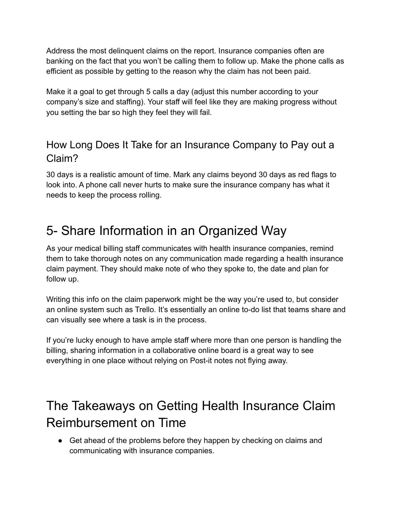Address the most delinquent claims on the report. Insurance companies often are banking on the fact that you won't be calling them to follow up. Make the phone calls as efficient as possible by getting to the reason why the claim has not been paid.

Make it a goal to get through 5 calls a day (adjust this number according to your company's size and staffing). Your staff will feel like they are making progress without you setting the bar so high they feel they will fail.

### How Long Does It Take for an Insurance Company to Pay out a Claim?

30 days is a realistic amount of time. Mark any claims beyond 30 days as red flags to look into. A phone call never hurts to make sure the insurance company has what it needs to keep the process rolling.

# 5- Share Information in an Organized Way

As your medical billing staff communicates with health insurance companies, remind them to take thorough notes on any communication made regarding a health insurance claim payment. They should make note of who they spoke to, the date and plan for follow up.

Writing this info on the claim paperwork might be the way you're used to, but consider an online system such as Trello. It's essentially an online to-do list that teams share and can visually see where a task is in the process.

If you're lucky enough to have ample staff where more than one person is handling the billing, sharing information in a collaborative online board is a great way to see everything in one place without relying on Post-it notes not flying away.

# The Takeaways on Getting Health Insurance Claim Reimbursement on Time

● Get ahead of the problems before they happen by checking on claims and communicating with insurance companies.